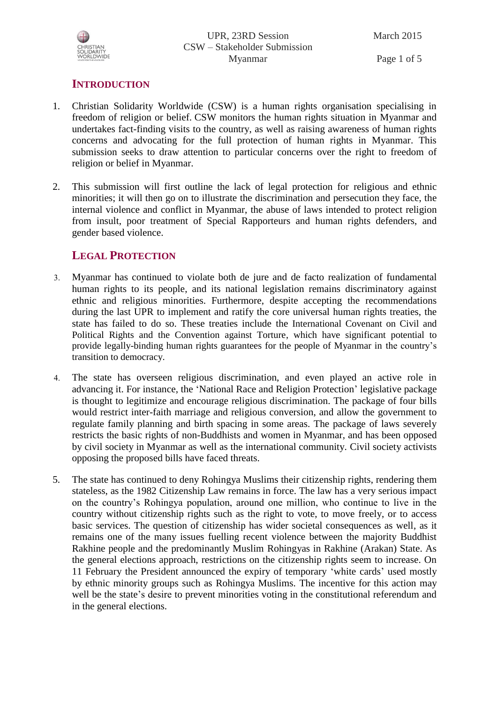

Page 1 of 5

# **INTRODUCTION**

- 1. Christian Solidarity Worldwide (CSW) is a human rights organisation specialising in freedom of religion or belief. CSW monitors the human rights situation in Myanmar and undertakes fact-finding visits to the country, as well as raising awareness of human rights concerns and advocating for the full protection of human rights in Myanmar. This submission seeks to draw attention to particular concerns over the right to freedom of religion or belief in Myanmar.
- 2. This submission will first outline the lack of legal protection for religious and ethnic minorities; it will then go on to illustrate the discrimination and persecution they face, the internal violence and conflict in Myanmar, the abuse of laws intended to protect religion from insult, poor treatment of Special Rapporteurs and human rights defenders, and gender based violence.

## **LEGAL PROTECTION**

- 3. Myanmar has continued to violate both de jure and de facto realization of fundamental human rights to its people, and its national legislation remains discriminatory against ethnic and religious minorities. Furthermore, despite accepting the recommendations during the last UPR to implement and ratify the core universal human rights treaties, the state has failed to do so. These treaties include the International Covenant on Civil and Political Rights and the Convention against Torture, which have significant potential to provide legally-binding human rights guarantees for the people of Myanmar in the country's transition to democracy.
- 4. The state has overseen religious discrimination, and even played an active role in advancing it. For instance, the 'National Race and Religion Protection' legislative package is thought to legitimize and encourage religious discrimination. The package of four bills would restrict inter-faith marriage and religious conversion, and allow the government to regulate family planning and birth spacing in some areas. The package of laws severely restricts the basic rights of non-Buddhists and women in Myanmar, and has been opposed by civil society in Myanmar as well as the international community. Civil society activists opposing the proposed bills have faced threats.
- 5. The state has continued to deny Rohingya Muslims their citizenship rights, rendering them stateless, as the 1982 Citizenship Law remains in force. The law has a very serious impact on the country's Rohingya population, around one million, who continue to live in the country without citizenship rights such as the right to vote, to move freely, or to access basic services. The question of citizenship has wider societal consequences as well, as it remains one of the many issues fuelling recent violence between the majority Buddhist Rakhine people and the predominantly Muslim Rohingyas in Rakhine (Arakan) State. As the general elections approach, restrictions on the citizenship rights seem to increase. On 11 February the President announced the expiry of temporary 'white cards' used mostly by ethnic minority groups such as Rohingya Muslims. The incentive for this action may well be the state's desire to prevent minorities voting in the constitutional referendum and in the general elections.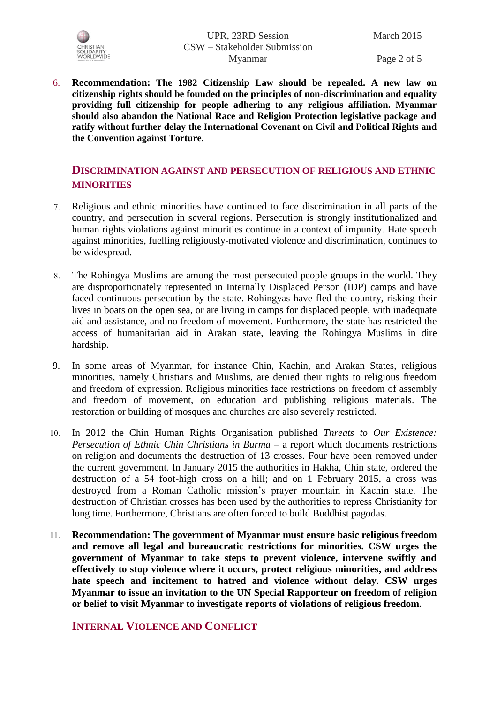

6. **Recommendation: The 1982 Citizenship Law should be repealed. A new law on citizenship rights should be founded on the principles of non-discrimination and equality providing full citizenship for people adhering to any religious affiliation. Myanmar should also abandon the National Race and Religion Protection legislative package and ratify without further delay the International Covenant on Civil and Political Rights and the Convention against Torture.** 

# **DISCRIMINATION AGAINST AND PERSECUTION OF RELIGIOUS AND ETHNIC MINORITIES**

- 7. Religious and ethnic minorities have continued to face discrimination in all parts of the country, and persecution in several regions. Persecution is strongly institutionalized and human rights violations against minorities continue in a context of impunity. Hate speech against minorities, fuelling religiously-motivated violence and discrimination, continues to be widespread.
- 8. The Rohingya Muslims are among the most persecuted people groups in the world. They are disproportionately represented in Internally Displaced Person (IDP) camps and have faced continuous persecution by the state. Rohingyas have fled the country, risking their lives in boats on the open sea, or are living in camps for displaced people, with inadequate aid and assistance, and no freedom of movement. Furthermore, the state has restricted the access of humanitarian aid in Arakan state, leaving the Rohingya Muslims in dire hardship.
- 9. In some areas of Myanmar, for instance Chin, Kachin, and Arakan States, religious minorities, namely Christians and Muslims, are denied their rights to religious freedom and freedom of expression. Religious minorities face restrictions on freedom of assembly and freedom of movement, on education and publishing religious materials. The restoration or building of mosques and churches are also severely restricted.
- 10. In 2012 the Chin Human Rights Organisation published *Threats to Our Existence: Persecution of Ethnic Chin Christians in Burma* – a report which documents restrictions on religion and documents the destruction of 13 crosses. Four have been removed under the current government. In January 2015 the authorities in Hakha, Chin state, ordered the destruction of a 54 foot-high cross on a hill; and on 1 February 2015, a cross was destroyed from a Roman Catholic mission's prayer mountain in Kachin state. The destruction of Christian crosses has been used by the authorities to repress Christianity for long time. Furthermore, Christians are often forced to build Buddhist pagodas.
- 11. **Recommendation: The government of Myanmar must ensure basic religious freedom and remove all legal and bureaucratic restrictions for minorities. CSW urges the government of Myanmar to take steps to prevent violence, intervene swiftly and effectively to stop violence where it occurs, protect religious minorities, and address hate speech and incitement to hatred and violence without delay. CSW urges Myanmar to issue an invitation to the UN Special Rapporteur on freedom of religion or belief to visit Myanmar to investigate reports of violations of religious freedom.**

### **INTERNAL VIOLENCE AND CONFLICT**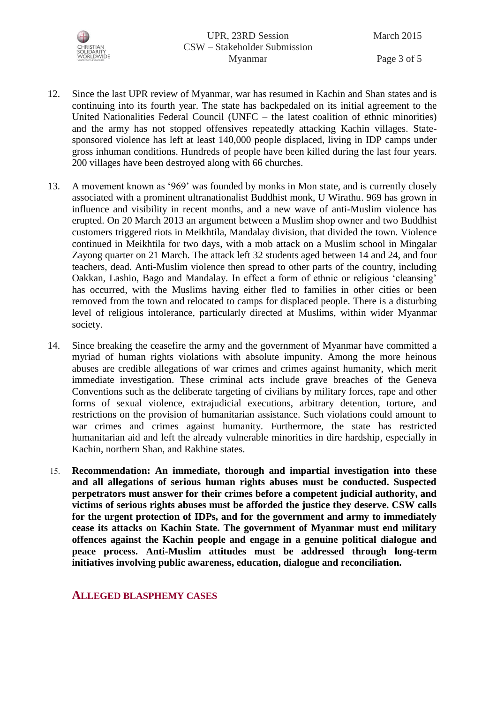

Page 3 of 5

- 12. Since the last UPR review of Myanmar, war has resumed in Kachin and Shan states and is continuing into its fourth year. The state has backpedaled on its initial agreement to the United Nationalities Federal Council (UNFC – the latest coalition of ethnic minorities) and the army has not stopped offensives repeatedly attacking Kachin villages. Statesponsored violence has left at least 140,000 people displaced, living in IDP camps under gross inhuman conditions. Hundreds of people have been killed during the last four years. 200 villages have been destroyed along with 66 churches.
- 13. A movement known as '969' was founded by monks in Mon state, and is currently closely associated with a prominent ultranationalist Buddhist monk, U Wirathu. 969 has grown in influence and visibility in recent months, and a new wave of anti-Muslim violence has erupted. On 20 March 2013 an argument between a Muslim shop owner and two Buddhist customers triggered riots in Meikhtila, Mandalay division, that divided the town. Violence continued in Meikhtila for two days, with a mob attack on a Muslim school in Mingalar Zayong quarter on 21 March. The attack left 32 students aged between 14 and 24, and four teachers, dead. Anti-Muslim violence then spread to other parts of the country, including Oakkan, Lashio, Bago and Mandalay. In effect a form of ethnic or religious 'cleansing' has occurred, with the Muslims having either fled to families in other cities or been removed from the town and relocated to camps for displaced people. There is a disturbing level of religious intolerance, particularly directed at Muslims, within wider Myanmar society.
- 14. Since breaking the ceasefire the army and the government of Myanmar have committed a myriad of human rights violations with absolute impunity. Among the more heinous abuses are credible allegations of war crimes and crimes against humanity, which merit immediate investigation. These criminal acts include grave breaches of the Geneva Conventions such as the deliberate targeting of civilians by military forces, rape and other forms of sexual violence, extrajudicial executions, arbitrary detention, torture, and restrictions on the provision of humanitarian assistance. Such violations could amount to war crimes and crimes against humanity. Furthermore, the state has restricted humanitarian aid and left the already vulnerable minorities in dire hardship, especially in Kachin, northern Shan, and Rakhine states.
- 15. **Recommendation: An immediate, thorough and impartial investigation into these and all allegations of serious human rights abuses must be conducted. Suspected perpetrators must answer for their crimes before a competent judicial authority, and victims of serious rights abuses must be afforded the justice they deserve. CSW calls for the urgent protection of IDPs, and for the government and army to immediately cease its attacks on Kachin State. The government of Myanmar must end military offences against the Kachin people and engage in a genuine political dialogue and peace process. Anti-Muslim attitudes must be addressed through long-term initiatives involving public awareness, education, dialogue and reconciliation.**

#### **ALLEGED BLASPHEMY CASES**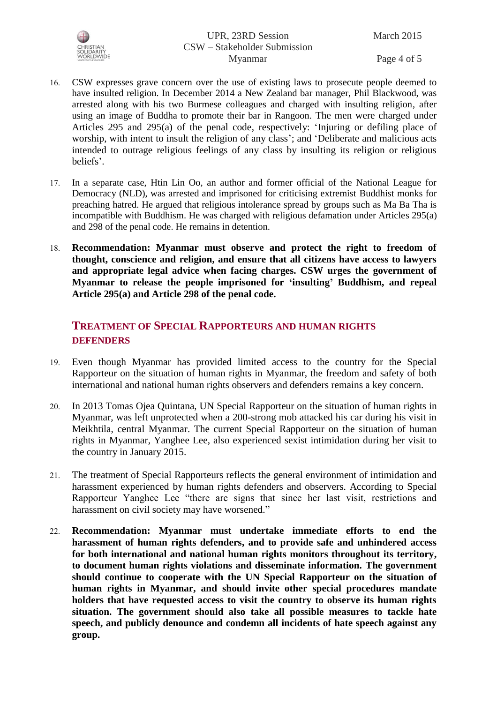

Page 4 of 5

- 16. CSW expresses grave concern over the use of existing laws to prosecute people deemed to have insulted religion. In December 2014 a New Zealand bar manager, Phil Blackwood, was arrested along with his two Burmese colleagues and charged with insulting religion, after using an image of Buddha to promote their bar in Rangoon. The men were charged under Articles 295 and 295(a) of the penal code, respectively: 'Injuring or defiling place of worship, with intent to insult the religion of any class'; and 'Deliberate and malicious acts intended to outrage religious feelings of any class by insulting its religion or religious beliefs'.
- 17. In a separate case, Htin Lin Oo, an author and former official of the National League for Democracy (NLD), was arrested and imprisoned for criticising extremist Buddhist monks for preaching hatred. He argued that religious intolerance spread by groups such as Ma Ba Tha is incompatible with Buddhism. He was charged with religious defamation under Articles 295(a) and 298 of the penal code. He remains in detention.
- 18. **Recommendation: Myanmar must observe and protect the right to freedom of thought, conscience and religion, and ensure that all citizens have access to lawyers and appropriate legal advice when facing charges. CSW urges the government of Myanmar to release the people imprisoned for 'insulting' Buddhism, and repeal Article 295(a) and Article 298 of the penal code.**

# **TREATMENT OF SPECIAL RAPPORTEURS AND HUMAN RIGHTS DEFENDERS**

- 19. Even though Myanmar has provided limited access to the country for the Special Rapporteur on the situation of human rights in Myanmar, the freedom and safety of both international and national human rights observers and defenders remains a key concern.
- 20. In 2013 Tomas Ojea Quintana, UN Special Rapporteur on the situation of human rights in Myanmar, was left unprotected when a 200-strong mob attacked his car during his visit in Meikhtila, central Myanmar. The current Special Rapporteur on the situation of human rights in Myanmar, Yanghee Lee, also experienced sexist intimidation during her visit to the country in January 2015.
- 21. The treatment of Special Rapporteurs reflects the general environment of intimidation and harassment experienced by human rights defenders and observers. According to Special Rapporteur Yanghee Lee "there are signs that since her last visit, restrictions and harassment on civil society may have worsened."
- 22. **Recommendation: Myanmar must undertake immediate efforts to end the harassment of human rights defenders, and to provide safe and unhindered access for both international and national human rights monitors throughout its territory, to document human rights violations and disseminate information. The government should continue to cooperate with the UN Special Rapporteur on the situation of human rights in Myanmar, and should invite other special procedures mandate holders that have requested access to visit the country to observe its human rights situation. The government should also take all possible measures to tackle hate speech, and publicly denounce and condemn all incidents of hate speech against any group.**